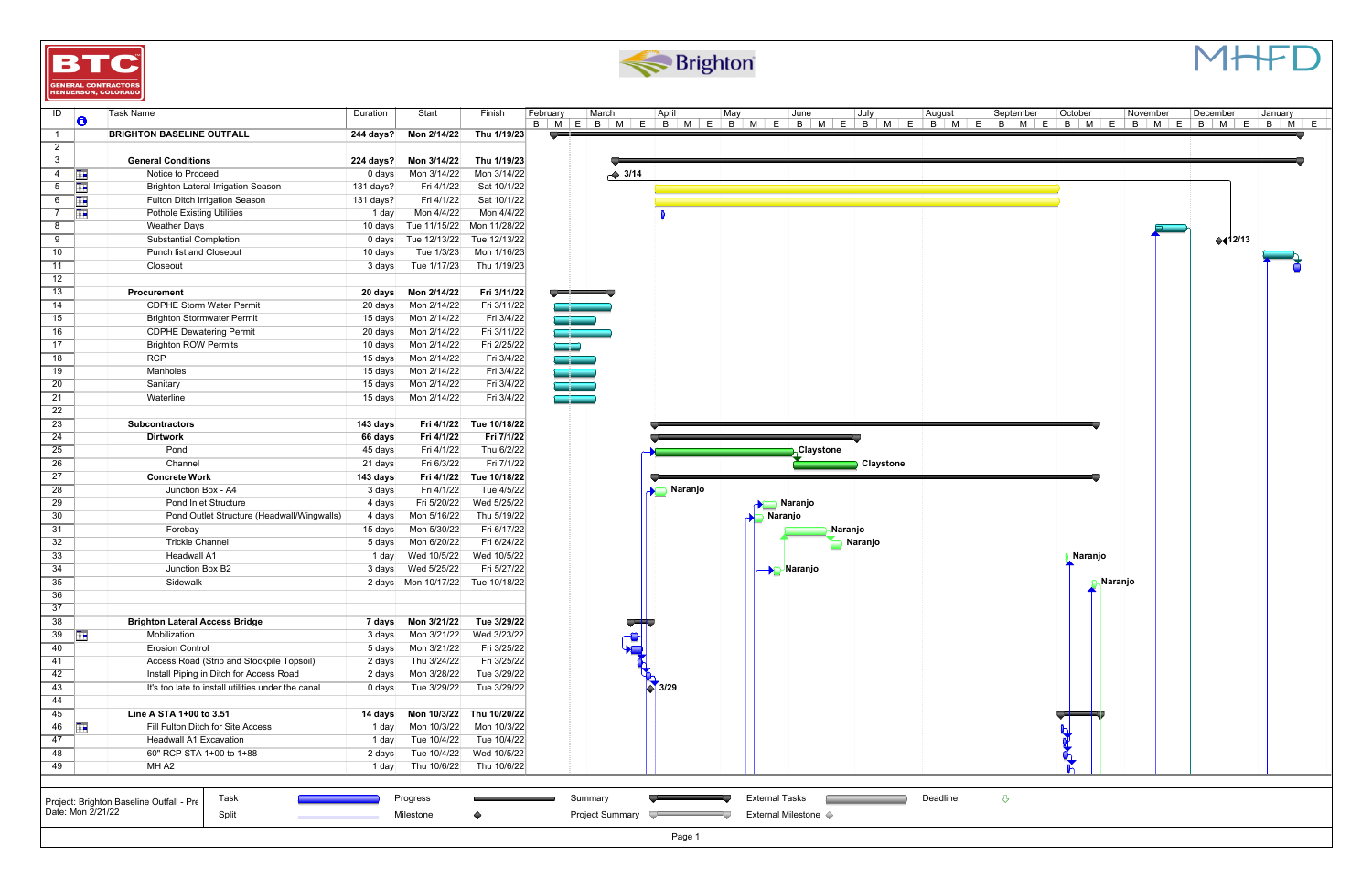| ID               |                   | Task Name                                          | Duration  | Start        | Finish       | February                           | ∣March             | April         | May                   | June                   | July      | August   | September                                                                                         | October        | November | December                          | January |
|------------------|-------------------|----------------------------------------------------|-----------|--------------|--------------|------------------------------------|--------------------|---------------|-----------------------|------------------------|-----------|----------|---------------------------------------------------------------------------------------------------|----------------|----------|-----------------------------------|---------|
|                  | Ð                 | <b>BRIGHTON BASELINE OUTFALL</b>                   |           |              |              | فاستعادنا                          |                    |               |                       |                        |           |          | B   M   E   B   M   E   B   M   E   B   M   E   B   M   E   B   M   E   B   M   E   B   M   E   B |                |          | B   M   E   B   M   E   B   M   E |         |
| $\mathbf{1}$     |                   |                                                    | 244 days? | Mon 2/14/22  | Thu 1/19/23  |                                    |                    |               |                       |                        |           |          |                                                                                                   |                |          |                                   |         |
| $\mathbf{2}$     |                   |                                                    |           |              |              |                                    |                    |               |                       |                        |           |          |                                                                                                   |                |          |                                   |         |
| 3 <sup>1</sup>   |                   | <b>General Conditions</b>                          | 224 days? | Mon 3/14/22  | Thu 1/19/23  |                                    |                    |               |                       |                        |           |          |                                                                                                   |                |          |                                   |         |
| 4                | <b>FREE</b>       | Notice to Proceed                                  | 0 days    | Mon 3/14/22  | Mon 3/14/22  |                                    | $\rightarrow$ 3/14 |               |                       |                        |           |          |                                                                                                   |                |          |                                   |         |
| $5\overline{)}$  | TΗ                | <b>Brighton Lateral Irrigation Season</b>          | 131 days? | Fri 4/1/22   | Sat 10/1/22  |                                    |                    |               |                       |                        |           |          |                                                                                                   |                |          |                                   |         |
| 6                | H.                | <b>Fulton Ditch Irrigation Season</b>              | 131 days? | Fri 4/1/22   | Sat 10/1/22  |                                    |                    |               |                       |                        |           |          |                                                                                                   |                |          |                                   |         |
| $\overline{7}$   | ŦΓ                | <b>Pothole Existing Utilities</b>                  | 1 day     | Mon 4/4/22   | Mon 4/4/22   |                                    |                    |               |                       |                        |           |          |                                                                                                   |                |          |                                   |         |
| 8                |                   | Weather Days                                       | 10 days   | Tue 11/15/22 | Mon 11/28/22 |                                    |                    |               |                       |                        |           |          |                                                                                                   |                |          |                                   |         |
| 9                |                   | <b>Substantial Completion</b>                      | 0 days    | Tue 12/13/22 | Tue 12/13/22 |                                    |                    |               |                       |                        |           |          |                                                                                                   |                |          | $+42/13$                          |         |
| 10 <sup>°</sup>  |                   | Punch list and Closeout                            | $10$ days | Tue 1/3/23   | Mon 1/16/23  |                                    |                    |               |                       |                        |           |          |                                                                                                   |                |          |                                   |         |
| 11               |                   | Closeout                                           | 3 days    | Tue 1/17/23  | Thu 1/19/23  |                                    |                    |               |                       |                        |           |          |                                                                                                   |                |          |                                   |         |
| 12 <sup>12</sup> |                   |                                                    |           |              |              |                                    |                    |               |                       |                        |           |          |                                                                                                   |                |          |                                   |         |
| 13               |                   | Procurement                                        | 20 days   | Mon 2/14/22  | Fri 3/11/22  | <u> Harry Common Street (1986)</u> |                    |               |                       |                        |           |          |                                                                                                   |                |          |                                   |         |
| 14               |                   | <b>CDPHE Storm Water Permit</b>                    | 20 days   | Mon 2/14/22  | Fri 3/11/22  |                                    |                    |               |                       |                        |           |          |                                                                                                   |                |          |                                   |         |
| 15               |                   | <b>Brighton Stormwater Permit</b>                  | 15 days   | Mon 2/14/22  | Fri 3/4/22   |                                    |                    |               |                       |                        |           |          |                                                                                                   |                |          |                                   |         |
| 16               |                   | <b>CDPHE Dewatering Permit</b>                     | 20 days   | Mon 2/14/22  | Fri 3/11/22  | a bir bir                          |                    |               |                       |                        |           |          |                                                                                                   |                |          |                                   |         |
| 17               |                   | <b>Brighton ROW Permits</b>                        | 10 days   | Mon 2/14/22  | Fri 2/25/22  | m p                                |                    |               |                       |                        |           |          |                                                                                                   |                |          |                                   |         |
| 18               |                   | <b>RCP</b>                                         | 15 days   | Mon 2/14/22  | Fri 3/4/22   | فتحاد                              |                    |               |                       |                        |           |          |                                                                                                   |                |          |                                   |         |
| 19               |                   | Manholes                                           | 15 days   | Mon 2/14/22  | Fri 3/4/22   | a por                              |                    |               |                       |                        |           |          |                                                                                                   |                |          |                                   |         |
| $\overline{20}$  |                   | Sanitary                                           | 15 days   | Mon 2/14/22  | Fri 3/4/22   |                                    |                    |               |                       |                        |           |          |                                                                                                   |                |          |                                   |         |
| 21               |                   | Waterline                                          | 15 days   | Mon 2/14/22  | Fri 3/4/22   |                                    |                    |               |                       |                        |           |          |                                                                                                   |                |          |                                   |         |
| 22               |                   |                                                    |           |              |              |                                    |                    |               |                       |                        |           |          |                                                                                                   |                |          |                                   |         |
| $\overline{23}$  |                   | <b>Subcontractors</b>                              | 143 days  | Fri 4/1/22   | Tue 10/18/22 |                                    |                    |               |                       |                        |           |          |                                                                                                   |                |          |                                   |         |
| 24               |                   | <b>Dirtwork</b>                                    | 66 days   | Fri 4/1/22   | Fri 7/1/22   |                                    |                    |               |                       |                        |           |          |                                                                                                   |                |          |                                   |         |
| 25               |                   | Pond                                               | 45 days   | Fri 4/1/22   | Thu 6/2/22   |                                    |                    |               |                       | <sub>∖</sub> Claystone |           |          |                                                                                                   |                |          |                                   |         |
| 26               |                   | Channel                                            | 21 days   | Fri 6/3/22   | Fri 7/1/22   |                                    |                    |               |                       |                        | Claystone |          |                                                                                                   |                |          |                                   |         |
| 27               |                   | <b>Concrete Work</b>                               | 143 days  | Fri 4/1/22   | Tue 10/18/22 |                                    |                    |               |                       |                        |           |          |                                                                                                   |                |          |                                   |         |
| 28               |                   | Junction Box - A4                                  | 3 days    | Fri 4/1/22   | Tue 4/5/22   |                                    |                    | Naranjo<br>d. |                       |                        |           |          |                                                                                                   |                |          |                                   |         |
| 29               |                   | <b>Pond Inlet Structure</b>                        | 4 days    | Fri 5/20/22  | Wed 5/25/22  |                                    |                    |               |                       | ■ Naranjo              |           |          |                                                                                                   |                |          |                                   |         |
| 30               |                   | Pond Outlet Structure (Headwall/Wingwalls)         | 4 days    | Mon 5/16/22  | Thu 5/19/22  |                                    |                    |               |                       | Naranjo                |           |          |                                                                                                   |                |          |                                   |         |
| 31               |                   | Forebay                                            | 15 days   | Mon 5/30/22  | Fri 6/17/22  |                                    |                    |               |                       | Naranjo                |           |          |                                                                                                   |                |          |                                   |         |
| 32               |                   | <b>Trickle Channel</b>                             | 5 days    | Mon 6/20/22  | Fri 6/24/22  |                                    |                    |               |                       |                        | Naranjo   |          |                                                                                                   |                |          |                                   |         |
| 33               |                   | <b>Headwall A1</b>                                 | 1 day     | Wed 10/5/22  | Wed 10/5/22  |                                    |                    |               |                       |                        |           |          |                                                                                                   | Naranjo        |          |                                   |         |
| 34               |                   | Junction Box B2                                    | 3 days    | Wed 5/25/22  | Fri 5/27/22  |                                    |                    |               |                       | <b>Naranjo</b>         |           |          |                                                                                                   |                |          |                                   |         |
| 35               |                   | Sidewalk                                           | 2 days    | Mon 10/17/22 | Tue 10/18/22 |                                    |                    |               |                       |                        |           |          |                                                                                                   | <b>Naranjo</b> |          |                                   |         |
| 36               |                   |                                                    |           |              |              |                                    |                    |               |                       |                        |           |          |                                                                                                   |                |          |                                   |         |
| 37               |                   |                                                    |           |              |              |                                    |                    |               |                       |                        |           |          |                                                                                                   |                |          |                                   |         |
| 38               |                   | <b>Brighton Lateral Access Bridge</b>              | 7 days    | Mon 3/21/22  | Tue 3/29/22  |                                    |                    |               |                       |                        |           |          |                                                                                                   |                |          |                                   |         |
| $39$ $\Box$      |                   | Mobilization                                       | 3 days    | Mon 3/21/22  | Wed 3/23/22  |                                    |                    |               |                       |                        |           |          |                                                                                                   |                |          |                                   |         |
| 40               |                   | <b>Erosion Control</b>                             | 5 days    | Mon 3/21/22  | Fri 3/25/22  |                                    |                    |               |                       |                        |           |          |                                                                                                   |                |          |                                   |         |
| 41               |                   | Access Road (Strip and Stockpile Topsoil)          | 2 days    | Thu 3/24/22  | Fri 3/25/22  |                                    |                    |               |                       |                        |           |          |                                                                                                   |                |          |                                   |         |
| 42               |                   | Install Piping in Ditch for Access Road            | 2 days    | Mon 3/28/22  | Tue 3/29/22  |                                    |                    | 3/29          |                       |                        |           |          |                                                                                                   |                |          |                                   |         |
| 43               |                   | It's too late to install utilities under the canal | 0 days    | Tue 3/29/22  | Tue 3/29/22  |                                    |                    |               |                       |                        |           |          |                                                                                                   |                |          |                                   |         |
| 44               |                   |                                                    |           |              |              |                                    |                    |               |                       |                        |           |          |                                                                                                   |                |          |                                   |         |
| 45               |                   | Line A STA 1+00 to 3.51                            | 14 days   | Mon 10/3/22  | Thu 10/20/22 |                                    |                    |               |                       |                        |           |          |                                                                                                   |                |          |                                   |         |
| 46               |                   | Fill Fulton Ditch for Site Access                  | 1 day     | Mon 10/3/22  | Mon 10/3/22  |                                    |                    |               |                       |                        |           |          |                                                                                                   | ור             |          |                                   |         |
| 47               |                   | <b>Headwall A1 Excavation</b>                      | 1 day     | Tue 10/4/22  | Tue 10/4/22  |                                    |                    |               |                       |                        |           |          |                                                                                                   |                |          |                                   |         |
| 48               |                   | 60" RCP STA 1+00 to 1+88                           | 2 days    | Tue 10/4/22  | Wed 10/5/22  |                                    |                    |               |                       |                        |           |          |                                                                                                   |                |          |                                   |         |
| 49               |                   | MH A2                                              | 1 day     | Thu 10/6/22  | Thu 10/6/22  |                                    |                    |               |                       |                        |           |          |                                                                                                   |                |          |                                   |         |
|                  |                   |                                                    |           |              |              |                                    |                    |               |                       |                        |           |          |                                                                                                   |                |          |                                   |         |
|                  |                   |                                                    |           |              |              |                                    |                    |               |                       |                        |           |          |                                                                                                   |                |          |                                   |         |
|                  |                   | Task<br>Project: Brighton Baseline Outfall - Pre   |           | Progress     |              | Summary                            |                    |               | <b>External Tasks</b> |                        |           | Deadline | ⇩                                                                                                 |                |          |                                   |         |
|                  | Date: Mon 2/21/22 | Split<br>,,,,,,,,,,,,,,,,,,,,,,,,,,,,,,            |           | Milestone    | ◆            |                                    | Project Summary    |               |                       | External Milestone <   |           |          |                                                                                                   |                |          |                                   |         |







Page 1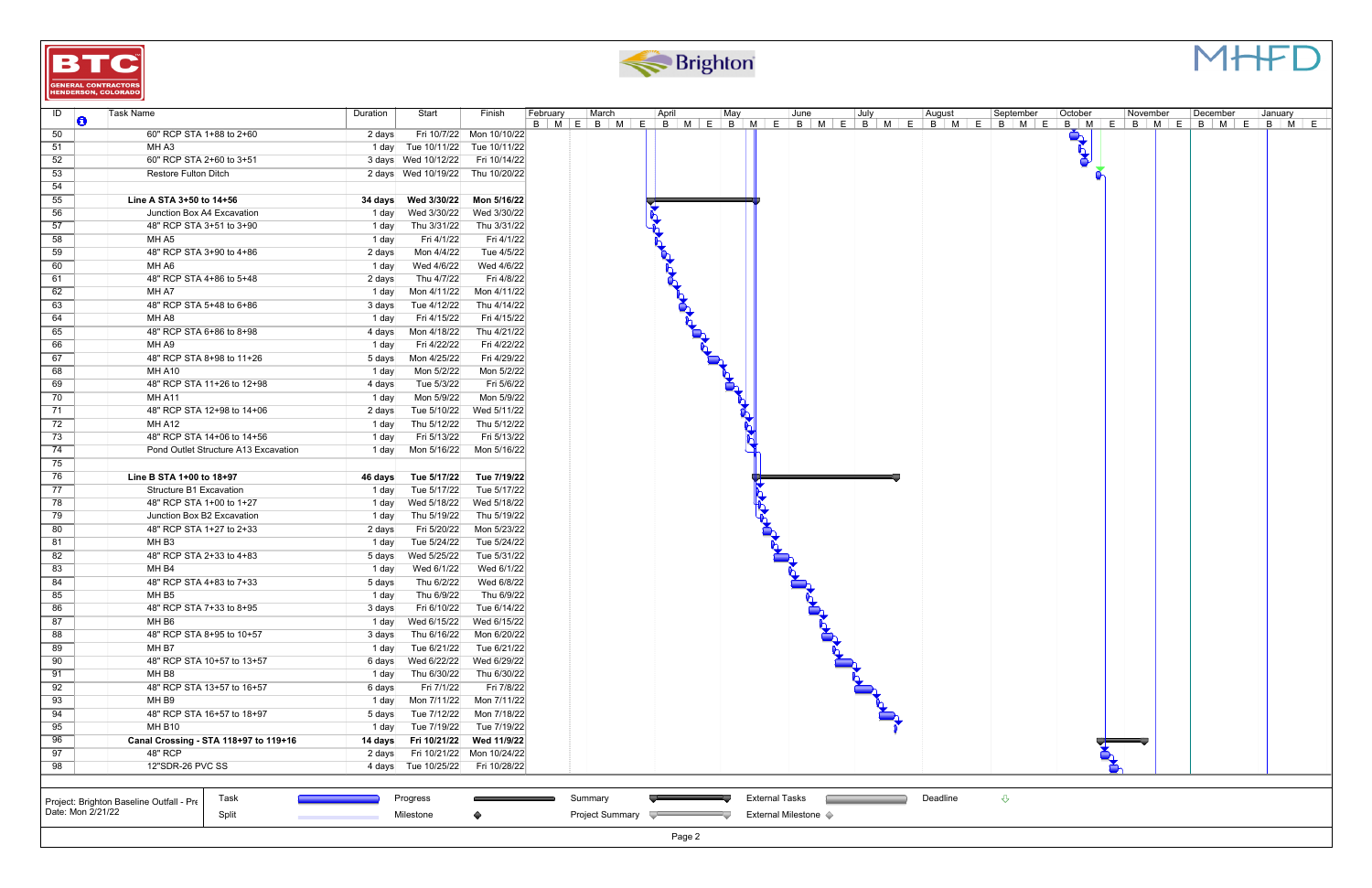



| ID                | Task Name                                              | Duration       | Start                                 | Finish                     | ∣March<br>February                                                                                                    | April           | May                   | June                 | July | August   | ∣September         | October    | November | December | January |
|-------------------|--------------------------------------------------------|----------------|---------------------------------------|----------------------------|-----------------------------------------------------------------------------------------------------------------------|-----------------|-----------------------|----------------------|------|----------|--------------------|------------|----------|----------|---------|
| O                 |                                                        |                |                                       |                            | B   M   E   B   M   E   B   M   E   B   M   E   B   M   E   B   M   E   B   M   E   B   M   E   B   M   E   B   M   E |                 |                       |                      |      |          |                    |            |          |          |         |
| 50                | 60" RCP STA 1+88 to 2+60                               | 2 days         |                                       | Fri 10/7/22 Mon 10/10/22   |                                                                                                                       |                 |                       |                      |      |          |                    |            |          |          |         |
| 51                | MH A3                                                  |                | 1 day Tue 10/11/22 Tue 10/11/22       |                            |                                                                                                                       |                 |                       |                      |      |          |                    | <b>Let</b> |          |          |         |
| 52                | 60" RCP STA 2+60 to 3+51                               |                | 3 days Wed 10/12/22 Fri 10/14/22      |                            |                                                                                                                       |                 |                       |                      |      |          |                    |            |          |          |         |
| 53                | <b>Restore Fulton Ditch</b>                            |                | 2 days Wed 10/19/22 Thu 10/20/22      |                            |                                                                                                                       |                 |                       |                      |      |          |                    |            |          |          |         |
| 54                |                                                        |                |                                       |                            |                                                                                                                       |                 |                       |                      |      |          |                    |            |          |          |         |
| 55                | Line A STA 3+50 to 14+56                               |                | 34 days    Ved 3/30/22    Mon 5/16/22 |                            |                                                                                                                       |                 |                       |                      |      |          |                    |            |          |          |         |
| 56                | Junction Box A4 Excavation<br>48" RCP STA 3+51 to 3+90 | 1 day          | Wed 3/30/22                           | Wed 3/30/22                |                                                                                                                       |                 |                       |                      |      |          |                    |            |          |          |         |
| 57                | MH A5                                                  | 1 day∣         | Thu 3/31/22                           | Thu 3/31/22                |                                                                                                                       |                 |                       |                      |      |          |                    |            |          |          |         |
| 58                | 48" RCP STA 3+90 to 4+86                               | 1 day          | Fri 4/1/22                            | Fri 4/1/22<br>Tue 4/5/22   |                                                                                                                       |                 |                       |                      |      |          |                    |            |          |          |         |
| 59                | MH A6                                                  | 2 days         | Mon 4/4/22                            | Wed 4/6/22                 |                                                                                                                       |                 |                       |                      |      |          |                    |            |          |          |         |
| 60                |                                                        | 1 day          | Wed 4/6/22                            | Fri 4/8/22                 |                                                                                                                       |                 |                       |                      |      |          |                    |            |          |          |         |
| 61                | 48" RCP STA 4+86 to 5+48                               | 2 days         | Thu 4/7/22                            |                            |                                                                                                                       |                 |                       |                      |      |          |                    |            |          |          |         |
| 62                | MH A7<br>48" RCP STA 5+48 to 6+86                      | 1 day          | Mon 4/11/22                           | Mon 4/11/22                |                                                                                                                       |                 |                       |                      |      |          |                    |            |          |          |         |
| 63                |                                                        | 3 days         | Tue 4/12/22                           | Thu 4/14/22                |                                                                                                                       |                 |                       |                      |      |          |                    |            |          |          |         |
| 64                | MH A8<br>48" RCP STA 6+86 to 8+98                      | 1 day∣         | Fri 4/15/22                           | Fri 4/15/22                |                                                                                                                       |                 |                       |                      |      |          |                    |            |          |          |         |
| 65                |                                                        | 4 days         | Mon 4/18/22                           | Thu 4/21/22                |                                                                                                                       |                 |                       |                      |      |          |                    |            |          |          |         |
| 66                | MH A9<br>48" RCP STA 8+98 to 11+26                     | 1 day          | Fri 4/22/22                           | Fri 4/22/22                |                                                                                                                       |                 |                       |                      |      |          |                    |            |          |          |         |
| 67                |                                                        | 5 days         | Mon 4/25/22                           | Fri 4/29/22                |                                                                                                                       | <b>CALL AND</b> |                       |                      |      |          |                    |            |          |          |         |
| 68                | MH A10<br>48" RCP STA 11+26 to 12+98                   | 1 day∣         | Mon 5/2/22                            | Mon 5/2/22<br>Fri 5/6/22   |                                                                                                                       |                 |                       |                      |      |          |                    |            |          |          |         |
| 69                |                                                        | 4 days         | Tue 5/3/22                            |                            |                                                                                                                       |                 |                       |                      |      |          |                    |            |          |          |         |
| 70                | MH A11                                                 | 1 day          | Mon 5/9/22                            | Mon 5/9/22                 |                                                                                                                       |                 |                       |                      |      |          |                    |            |          |          |         |
| 71                | 48" RCP STA 12+98 to 14+06<br>MH A12                   | 2 days         | Tue 5/10/22                           | Wed 5/11/22<br>Thu 5/12/22 |                                                                                                                       |                 |                       |                      |      |          |                    |            |          |          |         |
| 72                | 48" RCP STA 14+06 to 14+56                             | 1 day∣         | Thu 5/12/22                           |                            |                                                                                                                       |                 |                       |                      |      |          |                    |            |          |          |         |
| 73<br>74          | Pond Outlet Structure A13 Excavation                   | 1 day<br>1 day | Fri 5/13/22                           | Fri 5/13/22<br>Mon 5/16/22 |                                                                                                                       |                 |                       |                      |      |          |                    |            |          |          |         |
| 75                |                                                        |                | Mon 5/16/22                           |                            |                                                                                                                       |                 |                       |                      |      |          |                    |            |          |          |         |
| 76                | Line B STA 1+00 to 18+97                               | 46 days        | Tue 5/17/22                           | Tue 7/19/22                |                                                                                                                       |                 |                       |                      |      |          |                    |            |          |          |         |
| 77                | Structure B1 Excavation                                | 1 day          | Tue 5/17/22                           | Tue 5/17/22                |                                                                                                                       |                 |                       |                      |      |          |                    |            |          |          |         |
| 78                | 48" RCP STA 1+00 to 1+27                               | 1 day∣         | Wed 5/18/22                           | Wed 5/18/22                |                                                                                                                       |                 |                       |                      |      |          |                    |            |          |          |         |
| 79                | Junction Box B2 Excavation                             | 1 day∣         | Thu 5/19/22                           | Thu 5/19/22                |                                                                                                                       |                 |                       |                      |      |          |                    |            |          |          |         |
| 80                | 48" RCP STA 1+27 to 2+33                               | 2 days         | Fri 5/20/22                           | Mon 5/23/22                |                                                                                                                       |                 |                       |                      |      |          |                    |            |          |          |         |
| 81                | MH B3                                                  | 1 day          | Tue 5/24/22                           | Tue 5/24/22                |                                                                                                                       |                 |                       |                      |      |          |                    |            |          |          |         |
| 82                | 48" RCP STA 2+33 to 4+83                               | 5 days∣        | Wed 5/25/22                           | Tue 5/31/22                |                                                                                                                       |                 |                       |                      |      |          |                    |            |          |          |         |
| 83                | MH B4                                                  | 1 day∣         | Wed 6/1/22                            | Wed 6/1/22                 |                                                                                                                       |                 |                       |                      |      |          |                    |            |          |          |         |
| 84                | 48" RCP STA 4+83 to 7+33                               | 5 days         | Thu 6/2/22                            | Wed 6/8/22                 |                                                                                                                       |                 |                       |                      |      |          |                    |            |          |          |         |
| 85                | MH B5                                                  | 1 day          | Thu 6/9/22                            | Thu 6/9/22                 |                                                                                                                       |                 |                       |                      |      |          |                    |            |          |          |         |
| 86                | 48" RCP STA 7+33 to 8+95                               | 3 days         | Fri 6/10/22                           | Tue 6/14/22                |                                                                                                                       |                 |                       |                      |      |          |                    |            |          |          |         |
| 87                | MH B6                                                  | 1 day          | Wed 6/15/22                           | Wed 6/15/22                |                                                                                                                       |                 |                       |                      |      |          |                    |            |          |          |         |
| 88                | 48" RCP STA 8+95 to 10+57                              | 3 days         |                                       | Thu 6/16/22 Mon 6/20/22    |                                                                                                                       |                 |                       |                      |      |          |                    |            |          |          |         |
| 89                | MH B7                                                  | 1 day          | Tue 6/21/22                           | Tue 6/21/22                |                                                                                                                       |                 |                       | <b>CALLES</b>        |      |          |                    |            |          |          |         |
| 90                | 48" RCP STA 10+57 to 13+57                             | 6 days∣        | Wed 6/22/22                           | Wed 6/29/22                |                                                                                                                       |                 |                       |                      |      |          |                    |            |          |          |         |
| 91                | MH B8                                                  | 1 day          | Thu 6/30/22                           | Thu 6/30/22                |                                                                                                                       |                 |                       |                      |      |          |                    |            |          |          |         |
| 92                | 48" RCP STA 13+57 to 16+57                             | 6 days∣        | Fri 7/1/22                            | Fri 7/8/22                 |                                                                                                                       |                 |                       |                      |      |          |                    |            |          |          |         |
| 93                | MH B9                                                  | 1 day∣         | Mon 7/11/22                           | Mon 7/11/22                |                                                                                                                       |                 |                       |                      |      |          |                    |            |          |          |         |
| 94                | 48" RCP STA 16+57 to 18+97                             | 5 days         | Tue 7/12/22                           | Mon 7/18/22                |                                                                                                                       |                 |                       |                      |      |          |                    |            |          |          |         |
| 95                | MH B10                                                 | 1 day          | Tue 7/19/22                           | Tue 7/19/22                |                                                                                                                       |                 |                       |                      |      |          |                    |            |          |          |         |
| 96                | Canal Crossing - STA 118+97 to 119+16                  | 14 days        | Fri 10/21/22                          | Wed 11/9/22                |                                                                                                                       |                 |                       |                      |      |          |                    |            |          |          |         |
| 97                | <b>48" RCP</b>                                         | 2 days         |                                       | Fri 10/21/22 Mon 10/24/22  |                                                                                                                       |                 |                       |                      |      |          |                    |            |          |          |         |
| 98                | 12"SDR-26 PVC SS                                       |                | 4 days Tue 10/25/22                   | Fri 10/28/22               |                                                                                                                       |                 |                       |                      |      |          |                    |            |          |          |         |
|                   |                                                        |                |                                       |                            |                                                                                                                       |                 |                       |                      |      |          |                    |            |          |          |         |
|                   |                                                        |                |                                       |                            |                                                                                                                       |                 |                       |                      |      |          |                    |            |          |          |         |
|                   | Task<br>Project: Brighton Baseline Outfall - Pre       |                | Progress                              |                            | Summary                                                                                                               |                 | <b>External Tasks</b> |                      |      | Deadline | $\bigtriangledown$ |            |          |          |         |
| Date: Mon 2/21/22 | Split                                                  |                | Milestone                             |                            | Project Summary                                                                                                       |                 |                       | External Milestone ♦ |      |          |                    |            |          |          |         |
|                   |                                                        |                |                                       |                            |                                                                                                                       |                 |                       |                      |      |          |                    |            |          |          |         |

|                                          |       |                                 |           |                        | Page $\geq$ |                           |          |  |
|------------------------------------------|-------|---------------------------------|-----------|------------------------|-------------|---------------------------|----------|--|
| Date: Mon 2/21/22                        | Split | ,,,,,,,,,,,,,,,,,,,,,,,,,,,,,,, | Milestone | <b>Project Summary</b> |             | <b>External Milestone</b> |          |  |
| Project: Brighton Baseline Outfall - Pre | Task  |                                 | Progress  | Summary                |             | External Tasks            | Deadline |  |

## MHFI